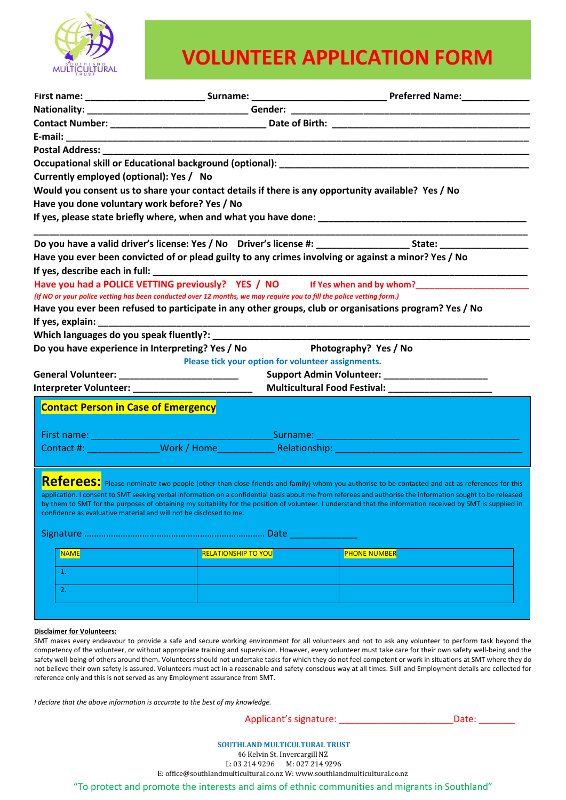

# **VOLUNTEER APPLICATION FORM**

| Currently employed (optional): Yes / No<br>Would you consent us to share your contact details if there is any opportunity available? Yes / No |                                                                                                           |                                                                                                                       |                                                                                                                                                                                                                                                                                                                                                                                                                                                                                                   |  |  |  |  |  |                                               |  |  |  |  |  |  |  |  |
|-----------------------------------------------------------------------------------------------------------------------------------------------|-----------------------------------------------------------------------------------------------------------|-----------------------------------------------------------------------------------------------------------------------|---------------------------------------------------------------------------------------------------------------------------------------------------------------------------------------------------------------------------------------------------------------------------------------------------------------------------------------------------------------------------------------------------------------------------------------------------------------------------------------------------|--|--|--|--|--|-----------------------------------------------|--|--|--|--|--|--|--|--|
|                                                                                                                                               |                                                                                                           |                                                                                                                       |                                                                                                                                                                                                                                                                                                                                                                                                                                                                                                   |  |  |  |  |  | Have you done voluntary work before? Yes / No |  |  |  |  |  |  |  |  |
|                                                                                                                                               |                                                                                                           |                                                                                                                       |                                                                                                                                                                                                                                                                                                                                                                                                                                                                                                   |  |  |  |  |  |                                               |  |  |  |  |  |  |  |  |
|                                                                                                                                               |                                                                                                           |                                                                                                                       |                                                                                                                                                                                                                                                                                                                                                                                                                                                                                                   |  |  |  |  |  |                                               |  |  |  |  |  |  |  |  |
|                                                                                                                                               |                                                                                                           |                                                                                                                       | Have you ever been convicted of or plead guilty to any crimes involving or against a minor? Yes / No                                                                                                                                                                                                                                                                                                                                                                                              |  |  |  |  |  |                                               |  |  |  |  |  |  |  |  |
|                                                                                                                                               |                                                                                                           |                                                                                                                       |                                                                                                                                                                                                                                                                                                                                                                                                                                                                                                   |  |  |  |  |  |                                               |  |  |  |  |  |  |  |  |
| Have you had a POLICE VETTING previously? YES / NO If Yes when and by whom?                                                                   |                                                                                                           |                                                                                                                       |                                                                                                                                                                                                                                                                                                                                                                                                                                                                                                   |  |  |  |  |  |                                               |  |  |  |  |  |  |  |  |
|                                                                                                                                               |                                                                                                           | (If NO or your police vetting has been conducted over 12 months, we may require you to fill the police vetting form.) |                                                                                                                                                                                                                                                                                                                                                                                                                                                                                                   |  |  |  |  |  |                                               |  |  |  |  |  |  |  |  |
|                                                                                                                                               |                                                                                                           |                                                                                                                       | Have you ever been refused to participate in any other groups, club or organisations program? Yes / No                                                                                                                                                                                                                                                                                                                                                                                            |  |  |  |  |  |                                               |  |  |  |  |  |  |  |  |
|                                                                                                                                               |                                                                                                           |                                                                                                                       |                                                                                                                                                                                                                                                                                                                                                                                                                                                                                                   |  |  |  |  |  |                                               |  |  |  |  |  |  |  |  |
|                                                                                                                                               |                                                                                                           |                                                                                                                       |                                                                                                                                                                                                                                                                                                                                                                                                                                                                                                   |  |  |  |  |  |                                               |  |  |  |  |  |  |  |  |
|                                                                                                                                               |                                                                                                           | Do you have experience in Interpreting? Yes / No                                                                      | Photography? Yes / No                                                                                                                                                                                                                                                                                                                                                                                                                                                                             |  |  |  |  |  |                                               |  |  |  |  |  |  |  |  |
|                                                                                                                                               |                                                                                                           | Please tick your option for volunteer assignments.                                                                    |                                                                                                                                                                                                                                                                                                                                                                                                                                                                                                   |  |  |  |  |  |                                               |  |  |  |  |  |  |  |  |
|                                                                                                                                               | General Volunteer: ___________________________                                                            |                                                                                                                       | Support Admin Volunteer: _____________________                                                                                                                                                                                                                                                                                                                                                                                                                                                    |  |  |  |  |  |                                               |  |  |  |  |  |  |  |  |
|                                                                                                                                               |                                                                                                           |                                                                                                                       |                                                                                                                                                                                                                                                                                                                                                                                                                                                                                                   |  |  |  |  |  |                                               |  |  |  |  |  |  |  |  |
|                                                                                                                                               | <b>Contact Person in Case of Emergency</b>                                                                |                                                                                                                       |                                                                                                                                                                                                                                                                                                                                                                                                                                                                                                   |  |  |  |  |  |                                               |  |  |  |  |  |  |  |  |
|                                                                                                                                               |                                                                                                           |                                                                                                                       |                                                                                                                                                                                                                                                                                                                                                                                                                                                                                                   |  |  |  |  |  |                                               |  |  |  |  |  |  |  |  |
|                                                                                                                                               |                                                                                                           |                                                                                                                       |                                                                                                                                                                                                                                                                                                                                                                                                                                                                                                   |  |  |  |  |  |                                               |  |  |  |  |  |  |  |  |
|                                                                                                                                               |                                                                                                           |                                                                                                                       |                                                                                                                                                                                                                                                                                                                                                                                                                                                                                                   |  |  |  |  |  |                                               |  |  |  |  |  |  |  |  |
|                                                                                                                                               |                                                                                                           |                                                                                                                       | Contact #: Nork / Home Relationship: Nortact #: North American Mork / Home Network Relationship:                                                                                                                                                                                                                                                                                                                                                                                                  |  |  |  |  |  |                                               |  |  |  |  |  |  |  |  |
|                                                                                                                                               | confidence as evaluative material and will not be disclosed to me.<br><b>NAME</b><br>$\mathbf{1}$ .<br>2. | <b>RELATIONSHIP TO YOU</b>                                                                                            | Referees: Please nominate two people (other than close friends and family) whom you authorise to be contacted and act as references for this<br>application. I consent to SMT seeking verbal information on a confidential basis about me from referees and authorise the information sought to be released<br>by them to SMT for the purposes of obtaining my suitability for the position of volunteer. I understand that the information received by SMT is supplied in<br><b>PHONE NUMBER</b> |  |  |  |  |  |                                               |  |  |  |  |  |  |  |  |
|                                                                                                                                               |                                                                                                           |                                                                                                                       |                                                                                                                                                                                                                                                                                                                                                                                                                                                                                                   |  |  |  |  |  |                                               |  |  |  |  |  |  |  |  |

#### **Disclaimer for Volunteers:**

SMT makes every endeavour to provide a safe and secure working environment for all volunteers and not to ask any volunteer to perform task beyond the competency of the volunteer, or without appropriate training and supervision. However, every volunteer must take care for their own safety well-being and the safety well-being of others around them. Volunteers should not undertake tasks for which they do not feel competent or work in situations at SMT where they do not believe their own safety is assured. Volunteers must act in a reasonable and safety-conscious way at all times. Skill and Employment details are collected for reference only and this is not served as any Employment assurance from SMT.

*I declare that the above information is accurate to the best of my knowledge.* 

Applicant's signature: \_\_\_\_\_\_\_\_\_\_\_\_\_\_\_\_\_\_\_\_\_\_Date: \_\_\_\_\_\_\_

### **SOUTHLAND MULTICULTURAL TRUST**

46 Kelvin St. Invercargill NZ

L: 03 214 9296 M: 027 214 9296

E: office@southlandmulticultural.co.nz W: www.southlandmulticultural.co.nz

"To protect and promote the interests and aims of ethnic communities and migrants in Southland"